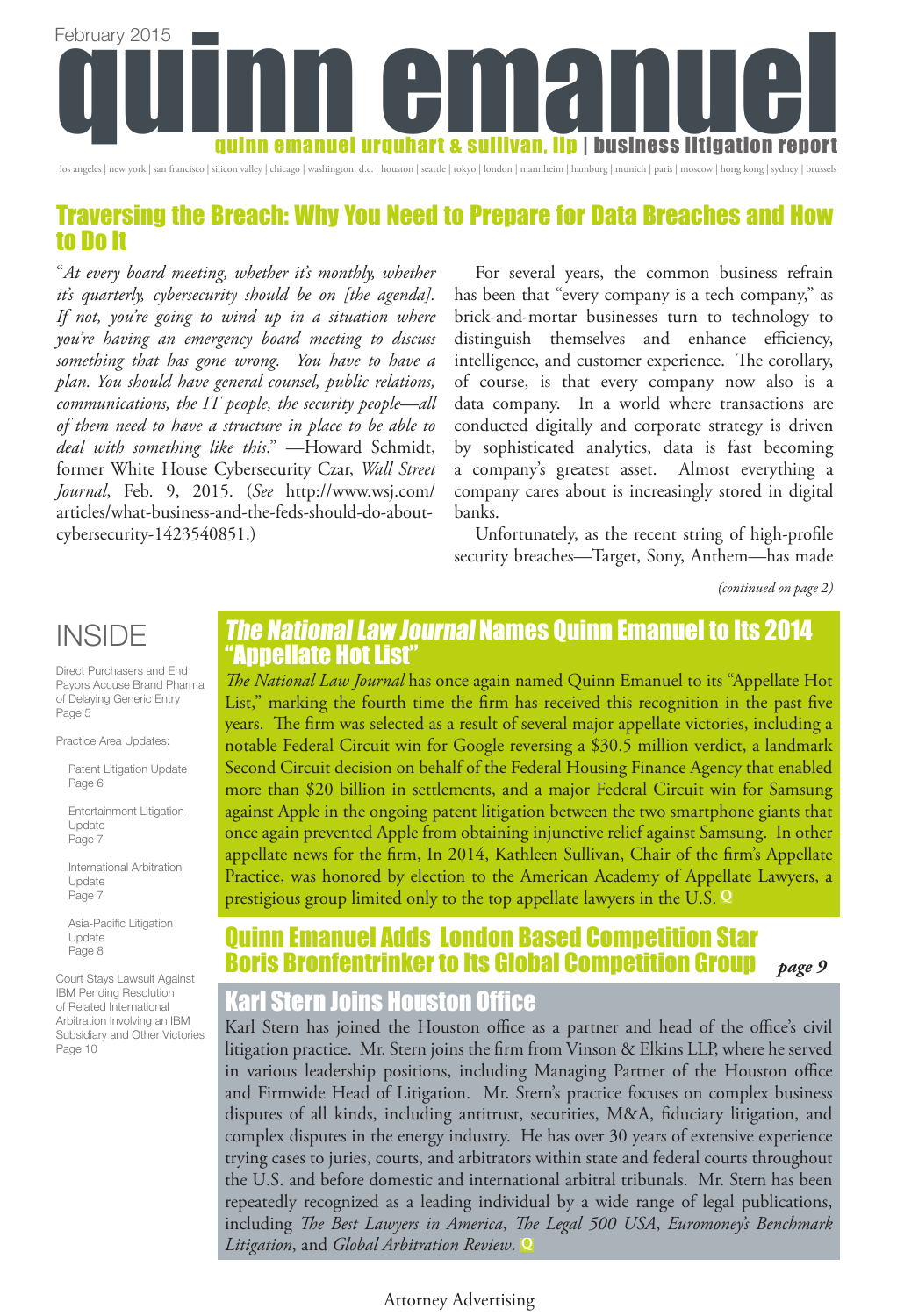

los angeles | new york | san francisco | silicon valley | chicago | washington, d.c. | houston | seattle | tokyo | london | mannheim | hamburg | munich | paris | moscow | hong kong | sydney | brussels

### Traversing the Breach: Why You Need to Prepare for Data Breaches and How to Do It

"*At every board meeting, whether it's monthly, whether it's quarterly, cybersecurity should be on [the agenda]. If not, you're going to wind up in a situation where you're having an emergency board meeting to discuss something that has gone wrong. You have to have a plan. You should have general counsel, public relations, communications, the IT people, the security people—all of them need to have a structure in place to be able to deal with something like this*." —Howard Schmidt, former White House Cybersecurity Czar, *Wall Street Journal*, Feb. 9, 2015. (*See* http://www.wsj.com/ articles/what-business-and-the-feds-should-do-aboutcybersecurity-1423540851.)

For several years, the common business refrain has been that "every company is a tech company," as brick-and-mortar businesses turn to technology to distinguish themselves and enhance efficiency, intelligence, and customer experience. The corollary, of course, is that every company now also is a data company. In a world where transactions are conducted digitally and corporate strategy is driven by sophisticated analytics, data is fast becoming a company's greatest asset. Almost everything a company cares about is increasingly stored in digital banks.

Unfortunately, as the recent string of high-profile security breaches—Target, Sony, Anthem—has made

*(continued on page 2)*

### INSIDE

Direct Purchasers and End Payors Accuse Brand Pharma of Delaying Generic Entry Page 5

Practice Area Updates:

Patent Litigation Update Page 6

Entertainment Litigation Update Page 7

International Arbitration Update Page 7

Asia-Pacific Litigation Update Page 8

Court Stays Lawsuit Against IBM Pending Resolution of Related International Arbitration Involving an IBM Subsidiary and Other Victories Page 10

### The National Law Journal Names Quinn Emanuel to Its 2014 "Appellate Hot List"

*The National Law Journal* has once again named Quinn Emanuel to its "Appellate Hot List," marking the fourth time the firm has received this recognition in the past five years. The firm was selected as a result of several major appellate victories, including a notable Federal Circuit win for Google reversing a \$30.5 million verdict, a landmark Second Circuit decision on behalf of the Federal Housing Finance Agency that enabled more than \$20 billion in settlements, and a major Federal Circuit win for Samsung against Apple in the ongoing patent litigation between the two smartphone giants that once again prevented Apple from obtaining injunctive relief against Samsung. In other appellate news for the firm, In 2014, Kathleen Sullivan, Chair of the firm's Appellate Practice, was honored by election to the American Academy of Appellate Lawyers, a prestigious group limited only to the top appellate lawyers in the U.S. **Q**

#### Quinn Emanuel Adds London Based Competition Star Boris Bronfentrinker to Its Global Competition Group *page 9*

### Karl Stern Joins Houston Office

Karl Stern has joined the Houston office as a partner and head of the office's civil litigation practice. Mr. Stern joins the firm from Vinson & Elkins LLP, where he served in various leadership positions, including Managing Partner of the Houston office and Firmwide Head of Litigation. Mr. Stern's practice focuses on complex business disputes of all kinds, including antitrust, securities, M&A, fiduciary litigation, and complex disputes in the energy industry. He has over 30 years of extensive experience trying cases to juries, courts, and arbitrators within state and federal courts throughout the U.S. and before domestic and international arbitral tribunals. Mr. Stern has been repeatedly recognized as a leading individual by a wide range of legal publications, including *The Best Lawyers in America*, *The Legal 500 USA*, *Euromoney's Benchmark Litigation*, and *Global Arbitration Review*. **Q**

#### Attorney Advertising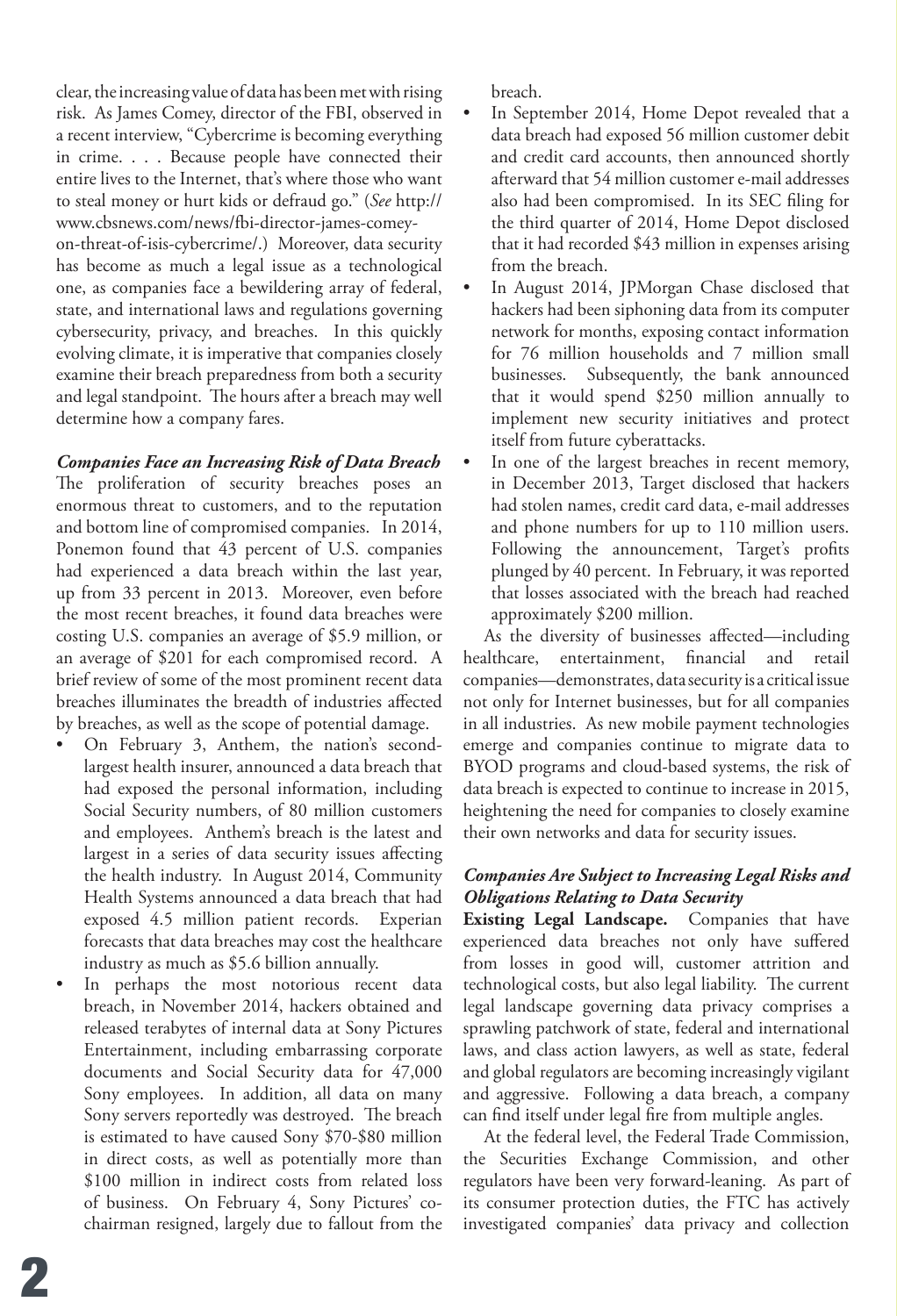clear, the increasing value of data has been met with rising risk. As James Comey, director of the FBI, observed in a recent interview, "Cybercrime is becoming everything in crime. . . . Because people have connected their entire lives to the Internet, that's where those who want to steal money or hurt kids or defraud go." (*See* http:// www.cbsnews.com/news/fbi-director-james-comey-

on-threat-of-isis-cybercrime/.) Moreover, data security has become as much a legal issue as a technological one, as companies face a bewildering array of federal, state, and international laws and regulations governing cybersecurity, privacy, and breaches. In this quickly evolving climate, it is imperative that companies closely examine their breach preparedness from both a security and legal standpoint. The hours after a breach may well determine how a company fares.

*Companies Face an Increasing Risk of Data Breach* The proliferation of security breaches poses an enormous threat to customers, and to the reputation and bottom line of compromised companies. In 2014,

Ponemon found that 43 percent of U.S. companies had experienced a data breach within the last year, up from 33 percent in 2013. Moreover, even before the most recent breaches, it found data breaches were costing U.S. companies an average of \$5.9 million, or an average of \$201 for each compromised record. A brief review of some of the most prominent recent data breaches illuminates the breadth of industries affected by breaches, as well as the scope of potential damage.

- On February 3, Anthem, the nation's secondlargest health insurer, announced a data breach that had exposed the personal information, including Social Security numbers, of 80 million customers and employees. Anthem's breach is the latest and largest in a series of data security issues affecting the health industry. In August 2014, Community Health Systems announced a data breach that had exposed 4.5 million patient records. Experian forecasts that data breaches may cost the healthcare industry as much as \$5.6 billion annually.
- In perhaps the most notorious recent data breach, in November 2014, hackers obtained and released terabytes of internal data at Sony Pictures Entertainment, including embarrassing corporate documents and Social Security data for 47,000 Sony employees. In addition, all data on many Sony servers reportedly was destroyed. The breach is estimated to have caused Sony \$70-\$80 million in direct costs, as well as potentially more than \$100 million in indirect costs from related loss of business. On February 4, Sony Pictures' cochairman resigned, largely due to fallout from the

breach.

- In September 2014, Home Depot revealed that a data breach had exposed 56 million customer debit and credit card accounts, then announced shortly afterward that 54 million customer e-mail addresses also had been compromised. In its SEC filing for the third quarter of 2014, Home Depot disclosed that it had recorded \$43 million in expenses arising from the breach.
- In August 2014, JPMorgan Chase disclosed that hackers had been siphoning data from its computer network for months, exposing contact information for 76 million households and 7 million small businesses. Subsequently, the bank announced that it would spend \$250 million annually to implement new security initiatives and protect itself from future cyberattacks.
- In one of the largest breaches in recent memory, in December 2013, Target disclosed that hackers had stolen names, credit card data, e-mail addresses and phone numbers for up to 110 million users. Following the announcement, Target's profits plunged by 40 percent. In February, it was reported that losses associated with the breach had reached approximately \$200 million.

As the diversity of businesses affected—including healthcare, entertainment, financial and retail companies—demonstrates, data security is a critical issue not only for Internet businesses, but for all companies in all industries. As new mobile payment technologies emerge and companies continue to migrate data to BYOD programs and cloud-based systems, the risk of data breach is expected to continue to increase in 2015, heightening the need for companies to closely examine their own networks and data for security issues.

#### *Companies Are Subject to Increasing Legal Risks and Obligations Relating to Data Security*

**Existing Legal Landscape.** Companies that have experienced data breaches not only have suffered from losses in good will, customer attrition and technological costs, but also legal liability. The current legal landscape governing data privacy comprises a sprawling patchwork of state, federal and international laws, and class action lawyers, as well as state, federal and global regulators are becoming increasingly vigilant and aggressive. Following a data breach, a company can find itself under legal fire from multiple angles.

At the federal level, the Federal Trade Commission, the Securities Exchange Commission, and other regulators have been very forward-leaning. As part of its consumer protection duties, the FTC has actively investigated companies' data privacy and collection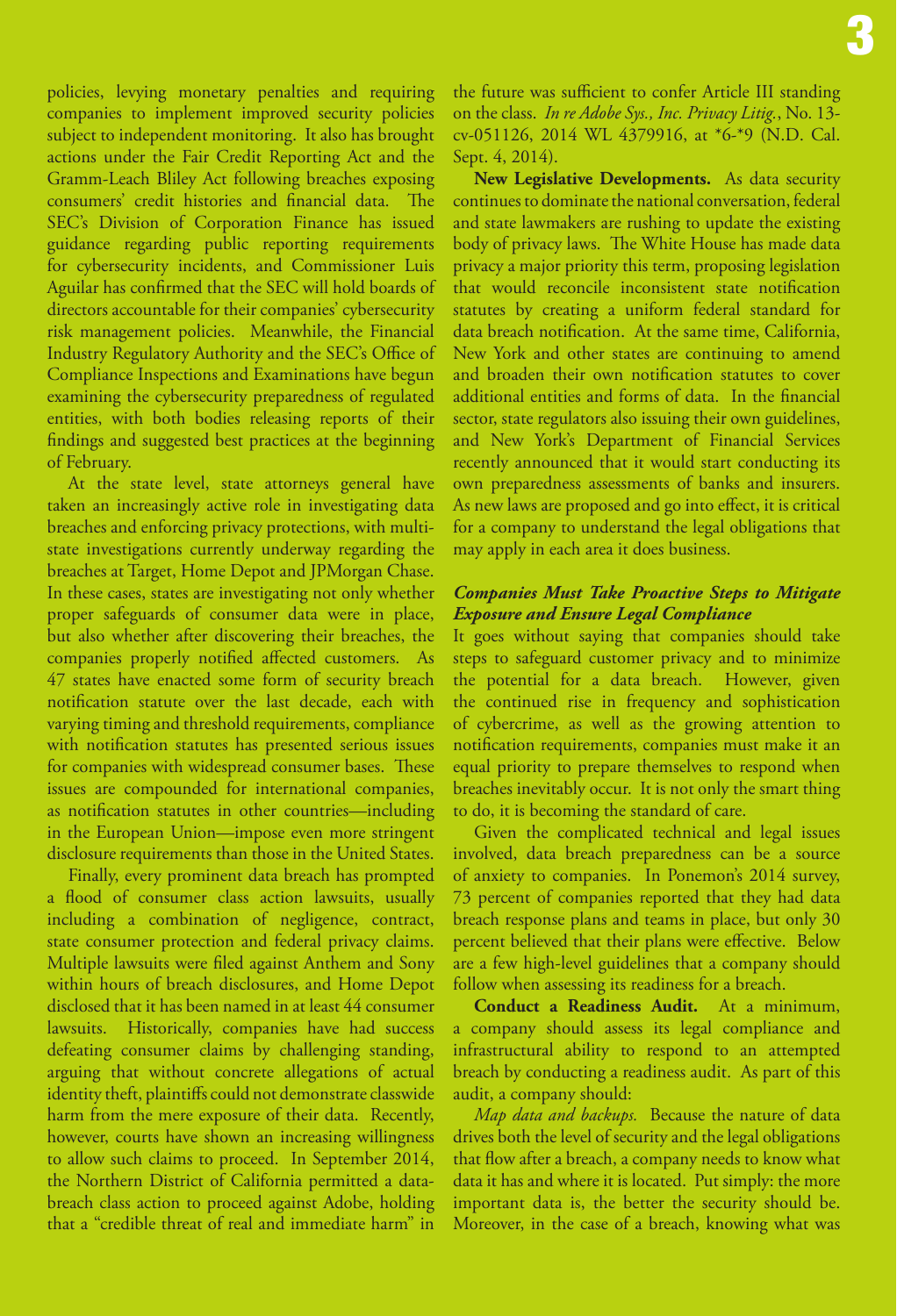policies, levying monetary penalties and requiring companies to implement improved security policies subject to independent monitoring. It also has brought actions under the Fair Credit Reporting Act and the Gramm-Leach Bliley Act following breaches exposing consumers' credit histories and financial data. The SEC's Division of Corporation Finance has issued guidance regarding public reporting requirements for cybersecurity incidents, and Commissioner Luis Aguilar has confirmed that the SEC will hold boards of directors accountable for their companies' cybersecurity risk management policies. Meanwhile, the Financial Industry Regulatory Authority and the SEC's Office of Compliance Inspections and Examinations have begun examining the cybersecurity preparedness of regulated entities, with both bodies releasing reports of their findings and suggested best practices at the beginning

At the state level, state attorneys general have taken an increasingly active role in investigating data breaches and enforcing privacy protections, with multistate investigations currently underway regarding the breaches at Target, Home Depot and JPMorgan Chase. In these cases, states are investigating not only whether proper safeguards of consumer data were in place, but also whether after discovering their breaches, the companies properly notified affected customers. As 47 states have enacted some form of security breach notification statute over the last decade, each with varying timing and threshold requirements, compliance with notification statutes has presented serious issues for companies with widespread consumer bases. These issues are compounded for international companies, as notification statutes in other countries—including in the European Union—impose even more stringent disclosure requirements than those in the United States.

of February.

Finally, every prominent data breach has prompted a flood of consumer class action lawsuits, usually including a combination of negligence, contract, state consumer protection and federal privacy claims. Multiple lawsuits were filed against Anthem and Sony within hours of breach disclosures, and Home Depot disclosed that it has been named in at least 44 consumer lawsuits. Historically, companies have had success defeating consumer claims by challenging standing, arguing that without concrete allegations of actual identity theft, plaintiffs could not demonstrate classwide harm from the mere exposure of their data. Recently, however, courts have shown an increasing willingness to allow such claims to proceed. In September 2014, the Northern District of California permitted a databreach class action to proceed against Adobe, holding that a "credible threat of real and immediate harm" in

the future was sufficient to confer Article III standing on the class. *In re Adobe Sys., Inc. Privacy Litig.*, No. 13 cv-051126, 2014 WL 4379916, at \*6-\*9 (N.D. Cal. Sept. 4, 2014).

**New Legislative Developments.** As data security continues to dominate the national conversation, federal and state lawmakers are rushing to update the existing body of privacy laws. The White House has made data privacy a major priority this term, proposing legislation that would reconcile inconsistent state notification statutes by creating a uniform federal standard for data breach notification. At the same time, California, New York and other states are continuing to amend and broaden their own notification statutes to cover additional entities and forms of data. In the financial sector, state regulators also issuing their own guidelines, and New York's Department of Financial Services recently announced that it would start conducting its own preparedness assessments of banks and insurers. As new laws are proposed and go into effect, it is critical for a company to understand the legal obligations that may apply in each area it does business.

#### *Companies Must Take Proactive Steps to Mitigate Exposure and Ensure Legal Compliance*

It goes without saying that companies should take steps to safeguard customer privacy and to minimize the potential for a data breach. However, given the continued rise in frequency and sophistication of cybercrime, as well as the growing attention to notification requirements, companies must make it an equal priority to prepare themselves to respond when breaches inevitably occur. It is not only the smart thing to do, it is becoming the standard of care.

Given the complicated technical and legal issues involved, data breach preparedness can be a source of anxiety to companies. In Ponemon's 2014 survey, 73 percent of companies reported that they had data breach response plans and teams in place, but only 30 percent believed that their plans were effective. Below are a few high-level guidelines that a company should follow when assessing its readiness for a breach.

**Conduct a Readiness Audit.** At a minimum, a company should assess its legal compliance and infrastructural ability to respond to an attempted breach by conducting a readiness audit. As part of this audit, a company should:

*Map data and backups.* Because the nature of data drives both the level of security and the legal obligations that flow after a breach, a company needs to know what data it has and where it is located. Put simply: the more important data is, the better the security should be. Moreover, in the case of a breach, knowing what was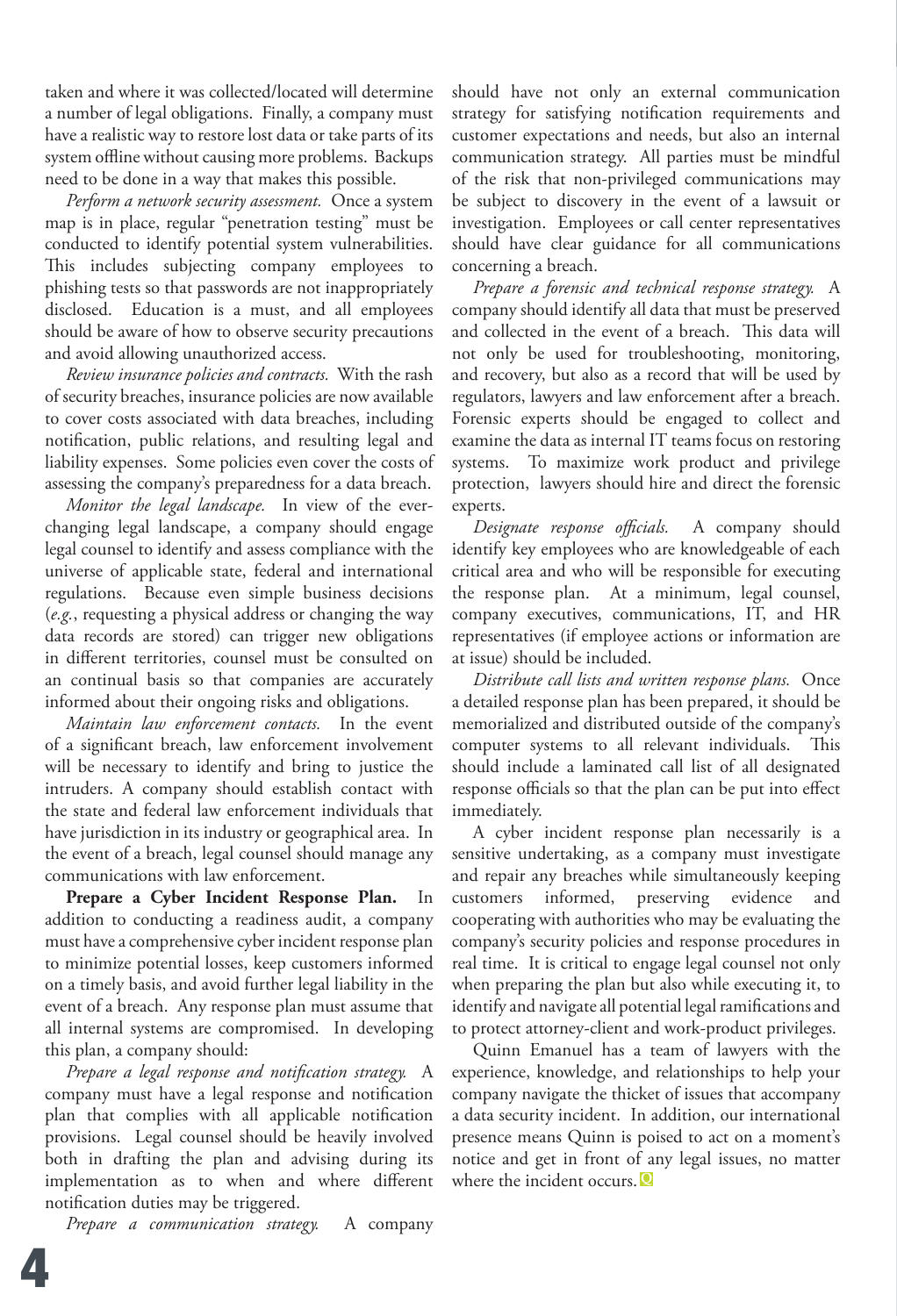taken and where it was collected/located will determine a number of legal obligations. Finally, a company must have a realistic way to restore lost data or take parts of its system offline without causing more problems. Backups need to be done in a way that makes this possible.

*Perform a network security assessment.* Once a system map is in place, regular "penetration testing" must be conducted to identify potential system vulnerabilities. This includes subjecting company employees to phishing tests so that passwords are not inappropriately disclosed. Education is a must, and all employees should be aware of how to observe security precautions and avoid allowing unauthorized access.

*Review insurance policies and contracts.* With the rash of security breaches, insurance policies are now available to cover costs associated with data breaches, including notification, public relations, and resulting legal and liability expenses. Some policies even cover the costs of assessing the company's preparedness for a data breach.

*Monitor the legal landscape.* In view of the everchanging legal landscape, a company should engage legal counsel to identify and assess compliance with the universe of applicable state, federal and international regulations. Because even simple business decisions (*e.g.*, requesting a physical address or changing the way data records are stored) can trigger new obligations in different territories, counsel must be consulted on an continual basis so that companies are accurately informed about their ongoing risks and obligations.

*Maintain law enforcement contacts.* In the event of a significant breach, law enforcement involvement will be necessary to identify and bring to justice the intruders. A company should establish contact with the state and federal law enforcement individuals that have jurisdiction in its industry or geographical area. In the event of a breach, legal counsel should manage any communications with law enforcement.

**Prepare a Cyber Incident Response Plan.** In addition to conducting a readiness audit, a company must have a comprehensive cyber incident response plan to minimize potential losses, keep customers informed on a timely basis, and avoid further legal liability in the event of a breach. Any response plan must assume that all internal systems are compromised. In developing this plan, a company should:

*Prepare a legal response and notification strategy.* A company must have a legal response and notification plan that complies with all applicable notification provisions. Legal counsel should be heavily involved both in drafting the plan and advising during its implementation as to when and where different notification duties may be triggered.

*Prepare a communication strategy.* A company

should have not only an external communication strategy for satisfying notification requirements and customer expectations and needs, but also an internal communication strategy. All parties must be mindful of the risk that non-privileged communications may be subject to discovery in the event of a lawsuit or investigation. Employees or call center representatives should have clear guidance for all communications concerning a breach.

*Prepare a forensic and technical response strategy.* A company should identify all data that must be preserved and collected in the event of a breach. This data will not only be used for troubleshooting, monitoring, and recovery, but also as a record that will be used by regulators, lawyers and law enforcement after a breach. Forensic experts should be engaged to collect and examine the data as internal IT teams focus on restoring systems. To maximize work product and privilege protection,lawyers should hire and direct the forensic experts.

*Designate response officials.* A company should identify key employees who are knowledgeable of each critical area and who will be responsible for executing the response plan. At a minimum, legal counsel, company executives, communications, IT, and HR representatives (if employee actions or information are at issue) should be included.

*Distribute call lists and written response plans.* Once a detailed response plan has been prepared, it should be memorialized and distributed outside of the company's computer systems to all relevant individuals. This should include a laminated call list of all designated response officials so that the plan can be put into effect immediately.

A cyber incident response plan necessarily is a sensitive undertaking, as a company must investigate and repair any breaches while simultaneously keeping customers informed, preserving evidence and cooperating with authorities who may be evaluating the company's security policies and response procedures in real time. It is critical to engage legal counsel not only when preparing the plan but also while executing it, to identify and navigate all potential legal ramifications and to protect attorney-client and work-product privileges.

Quinn Emanuel has a team of lawyers with the experience, knowledge, and relationships to help your company navigate the thicket of issues that accompany a data security incident. In addition, our international presence means Quinn is poised to act on a moment's notice and get in front of any legal issues, no matter where the incident occurs. **Q**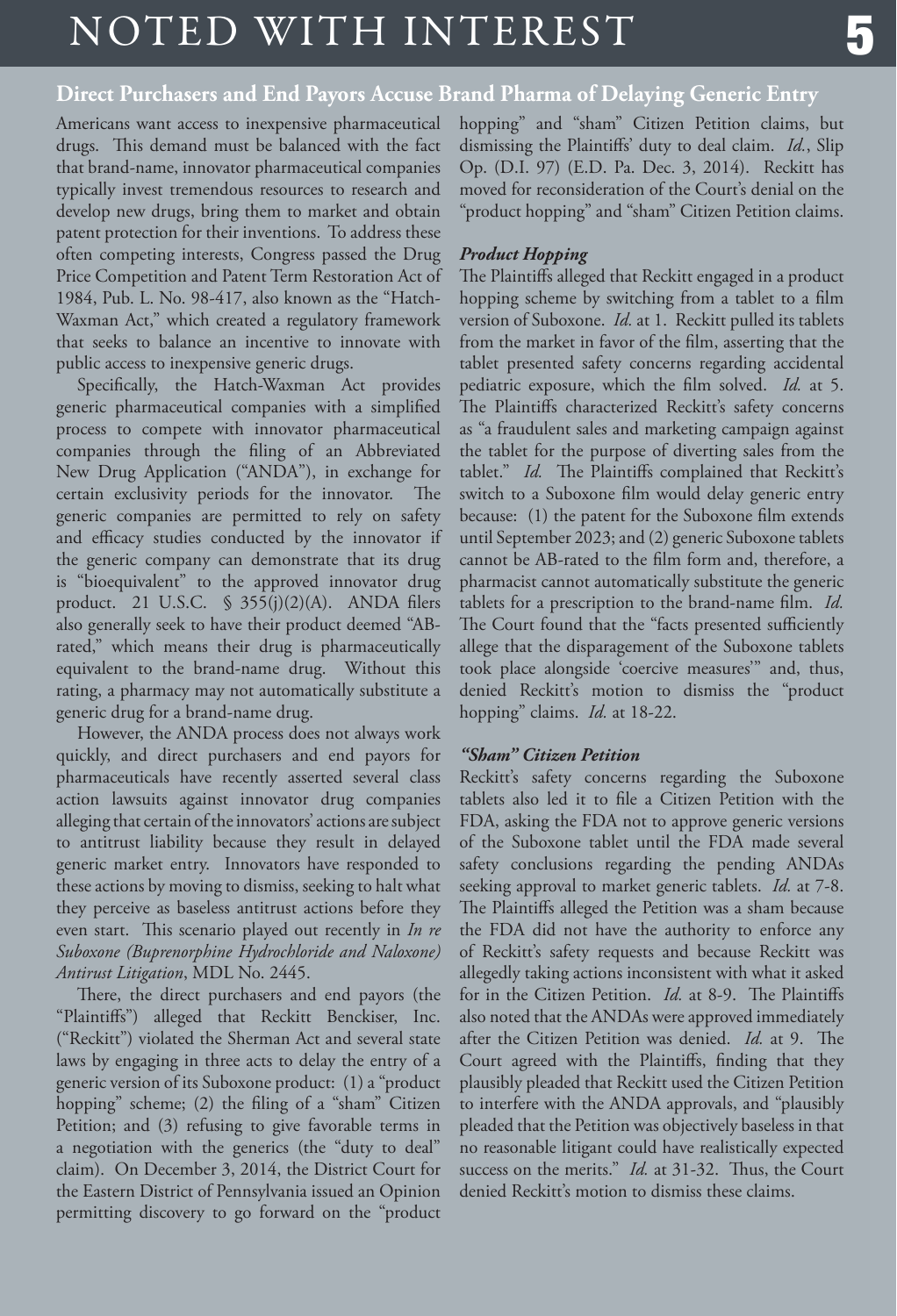## NOTED WITH INTEREST

### **Direct Purchasers and End Payors Accuse Brand Pharma of Delaying Generic Entry**

Americans want access to inexpensive pharmaceutical drugs. This demand must be balanced with the fact that brand-name, innovator pharmaceutical companies typically invest tremendous resources to research and develop new drugs, bring them to market and obtain patent protection for their inventions. To address these often competing interests, Congress passed the Drug Price Competition and Patent Term Restoration Act of 1984, Pub. L. No. 98-417, also known as the "Hatch-Waxman Act," which created a regulatory framework that seeks to balance an incentive to innovate with public access to inexpensive generic drugs.

Specifically, the Hatch-Waxman Act provides generic pharmaceutical companies with a simplified process to compete with innovator pharmaceutical companies through the filing of an Abbreviated New Drug Application ("ANDA"), in exchange for certain exclusivity periods for the innovator. The generic companies are permitted to rely on safety and efficacy studies conducted by the innovator if the generic company can demonstrate that its drug is "bioequivalent" to the approved innovator drug product. 21 U.S.C. § 355(j)(2)(A). ANDA filers also generally seek to have their product deemed "ABrated," which means their drug is pharmaceutically equivalent to the brand-name drug. Without this rating, a pharmacy may not automatically substitute a generic drug for a brand-name drug.

However, the ANDA process does not always work quickly, and direct purchasers and end payors for pharmaceuticals have recently asserted several class action lawsuits against innovator drug companies alleging that certain of the innovators' actions are subject to antitrust liability because they result in delayed generic market entry. Innovators have responded to these actions by moving to dismiss, seeking to halt what they perceive as baseless antitrust actions before they even start. This scenario played out recently in *In re Suboxone (Buprenorphine Hydrochloride and Naloxone) Antirust Litigation*, MDL No. 2445.

There, the direct purchasers and end payors (the "Plaintiffs") alleged that Reckitt Benckiser, Inc. ("Reckitt") violated the Sherman Act and several state laws by engaging in three acts to delay the entry of a generic version of its Suboxone product: (1) a "product hopping" scheme; (2) the filing of a "sham" Citizen Petition; and (3) refusing to give favorable terms in a negotiation with the generics (the "duty to deal" claim). On December 3, 2014, the District Court for the Eastern District of Pennsylvania issued an Opinion permitting discovery to go forward on the "product

hopping" and "sham" Citizen Petition claims, but dismissing the Plaintiffs' duty to deal claim. *Id.*, Slip Op. (D.I. 97) (E.D. Pa. Dec. 3, 2014). Reckitt has moved for reconsideration of the Court's denial on the "product hopping" and "sham" Citizen Petition claims.

#### *Product Hopping*

The Plaintiffs alleged that Reckitt engaged in a product hopping scheme by switching from a tablet to a film version of Suboxone. *Id.* at 1. Reckitt pulled its tablets from the market in favor of the film, asserting that the tablet presented safety concerns regarding accidental pediatric exposure, which the film solved. *Id.* at 5. The Plaintiffs characterized Reckitt's safety concerns as "a fraudulent sales and marketing campaign against the tablet for the purpose of diverting sales from the tablet." *Id.* The Plaintiffs complained that Reckitt's switch to a Suboxone film would delay generic entry because: (1) the patent for the Suboxone film extends until September 2023; and (2) generic Suboxone tablets cannot be AB-rated to the film form and, therefore, a pharmacist cannot automatically substitute the generic tablets for a prescription to the brand-name film. *Id.* The Court found that the "facts presented sufficiently allege that the disparagement of the Suboxone tablets took place alongside 'coercive measures'" and, thus, denied Reckitt's motion to dismiss the "product hopping" claims. *Id.* at 18-22.

#### *"Sham" Citizen Petition*

Reckitt's safety concerns regarding the Suboxone tablets also led it to file a Citizen Petition with the FDA, asking the FDA not to approve generic versions of the Suboxone tablet until the FDA made several safety conclusions regarding the pending ANDAs seeking approval to market generic tablets. *Id.* at 7-8. The Plaintiffs alleged the Petition was a sham because the FDA did not have the authority to enforce any of Reckitt's safety requests and because Reckitt was allegedly taking actions inconsistent with what it asked for in the Citizen Petition. *Id.* at 8-9. The Plaintiffs also noted that the ANDAs were approved immediately after the Citizen Petition was denied. *Id.* at 9. The Court agreed with the Plaintiffs, finding that they plausibly pleaded that Reckitt used the Citizen Petition to interfere with the ANDA approvals, and "plausibly pleaded that the Petition was objectively baseless in that no reasonable litigant could have realistically expected success on the merits." *Id.* at 31-32. Thus, the Court denied Reckitt's motion to dismiss these claims.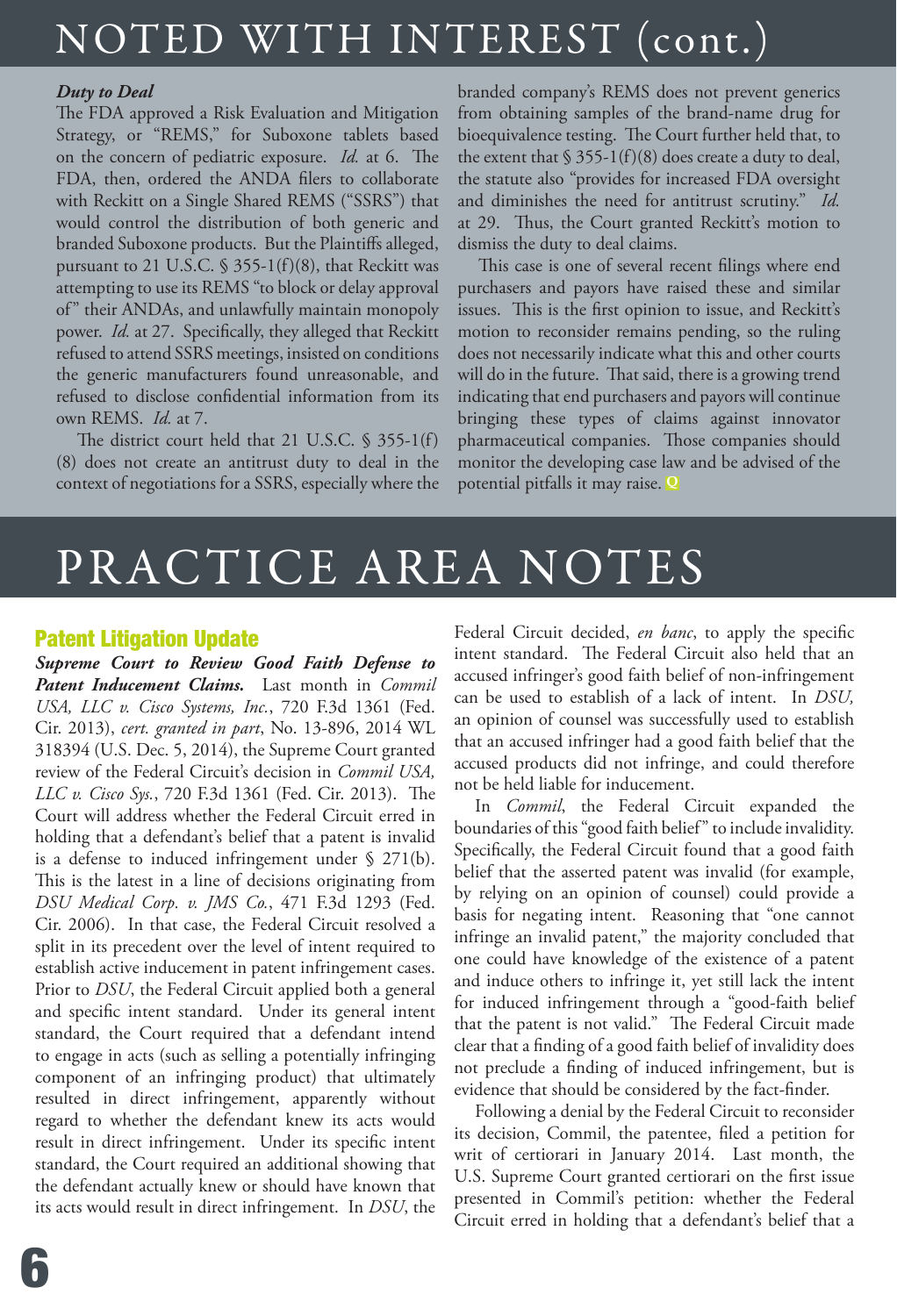## NOTED WITH INTEREST (cont.)

#### *Duty to Deal*

The FDA approved a Risk Evaluation and Mitigation Strategy, or "REMS," for Suboxone tablets based on the concern of pediatric exposure. *Id.* at 6. The FDA, then, ordered the ANDA filers to collaborate with Reckitt on a Single Shared REMS ("SSRS") that would control the distribution of both generic and branded Suboxone products. But the Plaintiffs alleged, pursuant to 21 U.S.C. § 355-1(f)(8), that Reckitt was attempting to use its REMS "to block or delay approval of" their ANDAs, and unlawfully maintain monopoly power. *Id.* at 27. Specifically, they alleged that Reckitt refused to attend SSRS meetings, insisted on conditions the generic manufacturers found unreasonable, and refused to disclose confidential information from its own REMS. *Id.* at 7.

The district court held that 21 U.S.C. § 355-1(f) (8) does not create an antitrust duty to deal in the context of negotiations for a SSRS, especially where the branded company's REMS does not prevent generics from obtaining samples of the brand-name drug for bioequivalence testing. The Court further held that, to the extent that  $\S 355-1(f)(8)$  does create a duty to deal, the statute also "provides for increased FDA oversight and diminishes the need for antitrust scrutiny." *Id.* at 29. Thus, the Court granted Reckitt's motion to dismiss the duty to deal claims.

This case is one of several recent filings where end purchasers and payors have raised these and similar issues. This is the first opinion to issue, and Reckitt's motion to reconsider remains pending, so the ruling does not necessarily indicate what this and other courts will do in the future. That said, there is a growing trend indicating that end purchasers and payors will continue bringing these types of claims against innovator pharmaceutical companies. Those companies should monitor the developing case law and be advised of the potential pitfalls it may raise. **Q**

## PRACTICE AREA NOTES

#### Patent Litigation Update

*Supreme Court to Review Good Faith Defense to Patent Inducement Claims.* Last month in *Commil USA, LLC v. Cisco Systems, Inc.*, 720 F.3d 1361 (Fed. Cir. 2013), *cert. granted in part*, No. 13-896, 2014 WL 318394 (U.S. Dec. 5, 2014), the Supreme Court granted review of the Federal Circuit's decision in *Commil USA, LLC v. Cisco Sys.*, 720 F.3d 1361 (Fed. Cir. 2013). The Court will address whether the Federal Circuit erred in holding that a defendant's belief that a patent is invalid is a defense to induced infringement under § 271(b). This is the latest in a line of decisions originating from *DSU Medical Corp. v. JMS Co.*, 471 F.3d 1293 (Fed. Cir. 2006). In that case, the Federal Circuit resolved a split in its precedent over the level of intent required to establish active inducement in patent infringement cases. Prior to *DSU*, the Federal Circuit applied both a general and specific intent standard. Under its general intent standard, the Court required that a defendant intend to engage in acts (such as selling a potentially infringing component of an infringing product) that ultimately resulted in direct infringement, apparently without regard to whether the defendant knew its acts would result in direct infringement. Under its specific intent standard, the Court required an additional showing that the defendant actually knew or should have known that its acts would result in direct infringement. In *DSU*, the

Federal Circuit decided, *en banc*, to apply the specific intent standard. The Federal Circuit also held that an accused infringer's good faith belief of non-infringement can be used to establish of a lack of intent. In *DSU,*  an opinion of counsel was successfully used to establish that an accused infringer had a good faith belief that the accused products did not infringe, and could therefore not be held liable for inducement.

In *Commil*, the Federal Circuit expanded the boundaries of this "good faith belief" to include invalidity. Specifically, the Federal Circuit found that a good faith belief that the asserted patent was invalid (for example, by relying on an opinion of counsel) could provide a basis for negating intent. Reasoning that "one cannot infringe an invalid patent," the majority concluded that one could have knowledge of the existence of a patent and induce others to infringe it, yet still lack the intent for induced infringement through a "good-faith belief that the patent is not valid." The Federal Circuit made clear that a finding of a good faith belief of invalidity does not preclude a finding of induced infringement, but is evidence that should be considered by the fact-finder.

Following a denial by the Federal Circuit to reconsider its decision, Commil, the patentee, filed a petition for writ of certiorari in January 2014. Last month, the U.S. Supreme Court granted certiorari on the first issue presented in Commil's petition: whether the Federal Circuit erred in holding that a defendant's belief that a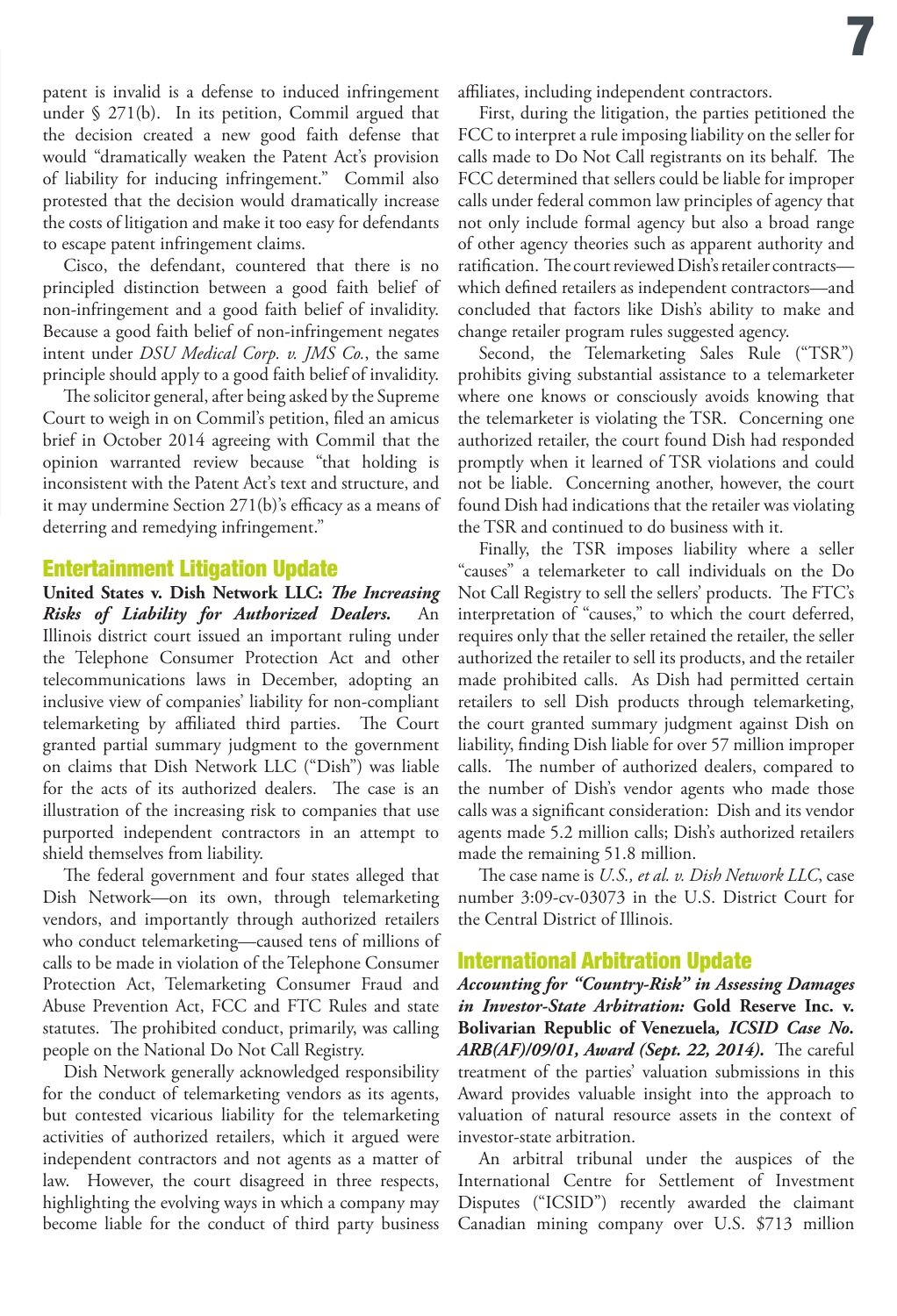patent is invalid is a defense to induced infringement under § 271(b). In its petition, Commil argued that the decision created a new good faith defense that would "dramatically weaken the Patent Act's provision of liability for inducing infringement." Commil also protested that the decision would dramatically increase the costs of litigation and make it too easy for defendants to escape patent infringement claims.

Cisco, the defendant, countered that there is no principled distinction between a good faith belief of non-infringement and a good faith belief of invalidity. Because a good faith belief of non-infringement negates intent under *DSU Medical Corp. v. JMS Co.*, the same principle should apply to a good faith belief of invalidity.

The solicitor general, after being asked by the Supreme Court to weigh in on Commil's petition, filed an amicus brief in October 2014 agreeing with Commil that the opinion warranted review because "that holding is inconsistent with the Patent Act's text and structure, and it may undermine Section 271(b)'s efficacy as a means of deterring and remedying infringement."

#### Entertainment Litigation Update

**United States v. Dish Network LLC:** *The Increasing Risks of Liability for Authorized Dealers.*An Illinois district court issued an important ruling under the Telephone Consumer Protection Act and other telecommunications laws in December, adopting an inclusive view of companies' liability for non-compliant telemarketing by affiliated third parties. The Court granted partial summary judgment to the government on claims that Dish Network LLC ("Dish") was liable for the acts of its authorized dealers. The case is an illustration of the increasing risk to companies that use purported independent contractors in an attempt to shield themselves from liability.

The federal government and four states alleged that Dish Network—on its own, through telemarketing vendors, and importantly through authorized retailers who conduct telemarketing—caused tens of millions of calls to be made in violation of the Telephone Consumer Protection Act, Telemarketing Consumer Fraud and Abuse Prevention Act, FCC and FTC Rules and state statutes. The prohibited conduct, primarily, was calling people on the National Do Not Call Registry.

Dish Network generally acknowledged responsibility for the conduct of telemarketing vendors as its agents, but contested vicarious liability for the telemarketing activities of authorized retailers, which it argued were independent contractors and not agents as a matter of law. However, the court disagreed in three respects, highlighting the evolving ways in which a company may become liable for the conduct of third party business

affiliates, including independent contractors.

First, during the litigation, the parties petitioned the FCC to interpret a rule imposing liability on the seller for calls made to Do Not Call registrants on its behalf. The FCC determined that sellers could be liable for improper calls under federal common law principles of agency that not only include formal agency but also a broad range of other agency theories such as apparent authority and ratification. The court reviewed Dish's retailer contracts which defined retailers as independent contractors—and concluded that factors like Dish's ability to make and change retailer program rules suggested agency.

Second, the Telemarketing Sales Rule ("TSR") prohibits giving substantial assistance to a telemarketer where one knows or consciously avoids knowing that the telemarketer is violating the TSR. Concerning one authorized retailer, the court found Dish had responded promptly when it learned of TSR violations and could not be liable. Concerning another, however, the court found Dish had indications that the retailer was violating the TSR and continued to do business with it.

Finally, the TSR imposes liability where a seller "causes" a telemarketer to call individuals on the Do Not Call Registry to sell the sellers' products. The FTC's interpretation of "causes," to which the court deferred, requires only that the seller retained the retailer, the seller authorized the retailer to sell its products, and the retailer made prohibited calls. As Dish had permitted certain retailers to sell Dish products through telemarketing, the court granted summary judgment against Dish on liability, finding Dish liable for over 57 million improper calls. The number of authorized dealers, compared to the number of Dish's vendor agents who made those calls was a significant consideration: Dish and its vendor agents made 5.2 million calls; Dish's authorized retailers made the remaining 51.8 million.

The case name is *U.S., et al. v. Dish Network LLC*, case number 3:09-cv-03073 in the U.S. District Court for the Central District of Illinois.

### International Arbitration Update

*Accounting for "Country-Risk" in Assessing Damages in Investor-State Arbitration:* **Gold Reserve Inc. v. Bolivarian Republic of Venezuela***, ICSID Case No. ARB(AF)/09/01, Award (Sept. 22, 2014).*The careful treatment of the parties' valuation submissions in this Award provides valuable insight into the approach to valuation of natural resource assets in the context of investor-state arbitration.

An arbitral tribunal under the auspices of the International Centre for Settlement of Investment Disputes ("ICSID") recently awarded the claimant Canadian mining company over U.S. \$713 million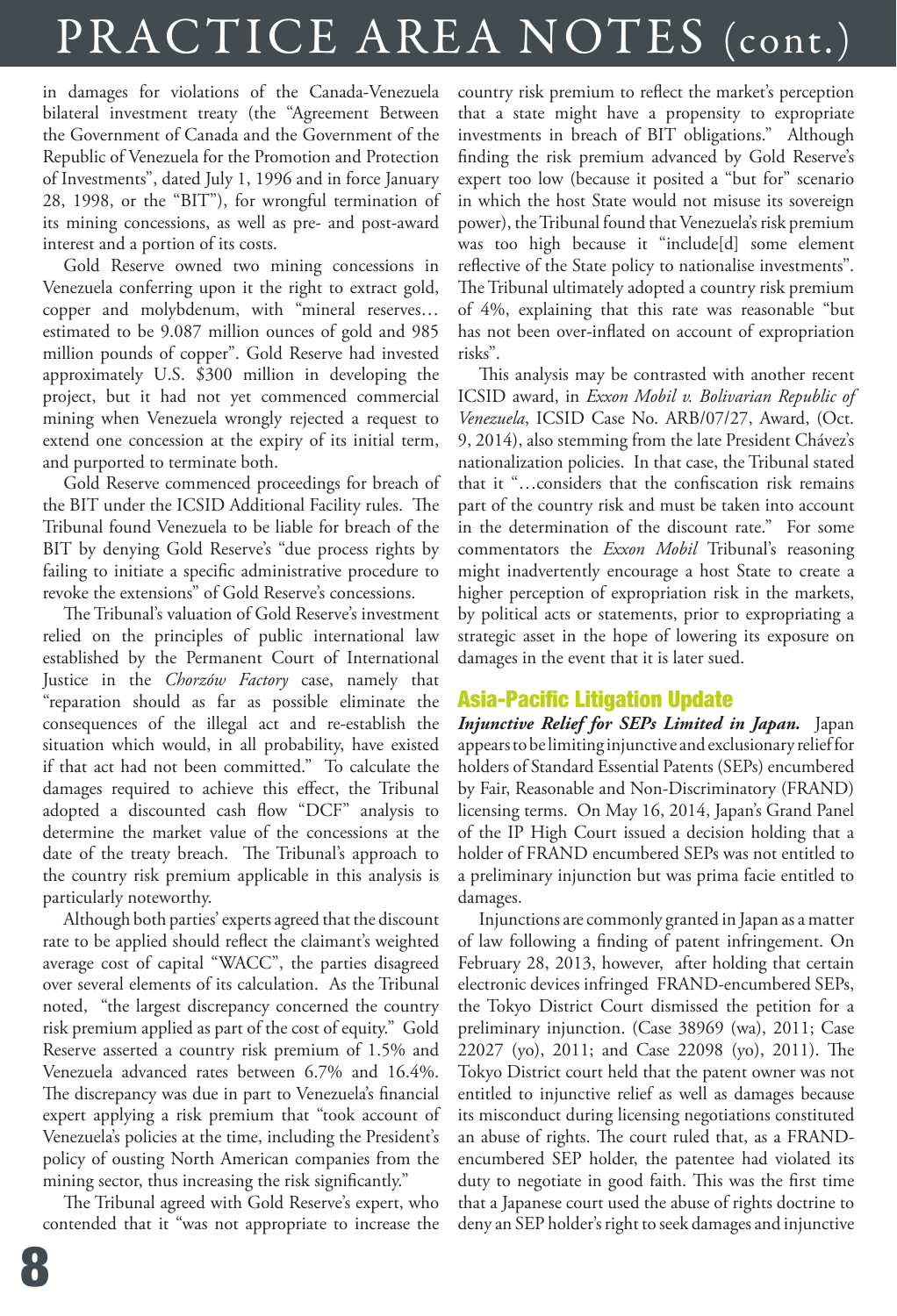# PRACTICE AREA NOTES (cont.)

in damages for violations of the Canada-Venezuela bilateral investment treaty (the "Agreement Between the Government of Canada and the Government of the Republic of Venezuela for the Promotion and Protection of Investments", dated July 1, 1996 and in force January 28, 1998, or the "BIT"), for wrongful termination of its mining concessions, as well as pre- and post-award interest and a portion of its costs.

Gold Reserve owned two mining concessions in Venezuela conferring upon it the right to extract gold, copper and molybdenum, with "mineral reserves… estimated to be 9.087 million ounces of gold and 985 million pounds of copper". Gold Reserve had invested approximately U.S. \$300 million in developing the project, but it had not yet commenced commercial mining when Venezuela wrongly rejected a request to extend one concession at the expiry of its initial term, and purported to terminate both.

Gold Reserve commenced proceedings for breach of the BIT under the ICSID Additional Facility rules. The Tribunal found Venezuela to be liable for breach of the BIT by denying Gold Reserve's "due process rights by failing to initiate a specific administrative procedure to revoke the extensions" of Gold Reserve's concessions.

The Tribunal's valuation of Gold Reserve's investment relied on the principles of public international law established by the Permanent Court of International Justice in the *Chorzów Factory* case, namely that "reparation should as far as possible eliminate the consequences of the illegal act and re-establish the situation which would, in all probability, have existed if that act had not been committed." To calculate the damages required to achieve this effect, the Tribunal adopted a discounted cash flow "DCF" analysis to determine the market value of the concessions at the date of the treaty breach. The Tribunal's approach to the country risk premium applicable in this analysis is particularly noteworthy.

Although both parties' experts agreed that the discount rate to be applied should reflect the claimant's weighted average cost of capital "WACC", the parties disagreed over several elements of its calculation. As the Tribunal noted, "the largest discrepancy concerned the country risk premium applied as part of the cost of equity." Gold Reserve asserted a country risk premium of 1.5% and Venezuela advanced rates between 6.7% and 16.4%. The discrepancy was due in part to Venezuela's financial expert applying a risk premium that "took account of Venezuela's policies at the time, including the President's policy of ousting North American companies from the mining sector, thus increasing the risk significantly."

The Tribunal agreed with Gold Reserve's expert, who contended that it "was not appropriate to increase the

country risk premium to reflect the market's perception that a state might have a propensity to expropriate investments in breach of BIT obligations." Although finding the risk premium advanced by Gold Reserve's expert too low (because it posited a "but for" scenario in which the host State would not misuse its sovereign power), the Tribunal found that Venezuela's risk premium was too high because it "include[d] some element reflective of the State policy to nationalise investments". The Tribunal ultimately adopted a country risk premium of 4%, explaining that this rate was reasonable "but has not been over-inflated on account of expropriation risks".

This analysis may be contrasted with another recent ICSID award, in *Exxon Mobil v. Bolivarian Republic of Venezuela*, ICSID Case No. ARB/07/27, Award, (Oct. 9, 2014), also stemming from the late President Chávez's nationalization policies. In that case, the Tribunal stated that it "…considers that the confiscation risk remains part of the country risk and must be taken into account in the determination of the discount rate." For some commentators the *Exxon Mobil* Tribunal's reasoning might inadvertently encourage a host State to create a higher perception of expropriation risk in the markets, by political acts or statements, prior to expropriating a strategic asset in the hope of lowering its exposure on damages in the event that it is later sued.

#### Asia-Pacific Litigation Update

*Injunctive Relief for SEPs Limited in Japan.* Japan appears to be limiting injunctive and exclusionary relief for holders of Standard Essential Patents (SEPs) encumbered by Fair, Reasonable and Non-Discriminatory (FRAND) licensing terms. On May 16, 2014, Japan's Grand Panel of the IP High Court issued a decision holding that a holder of FRAND encumbered SEPs was not entitled to a preliminary injunction but was prima facie entitled to damages.

Injunctions are commonly granted in Japan as a matter of law following a finding of patent infringement. On February 28, 2013, however, after holding that certain electronic devices infringed FRAND-encumbered SEPs, the Tokyo District Court dismissed the petition for a preliminary injunction. (Case 38969 (wa), 2011; Case 22027 (yo), 2011; and Case 22098 (yo), 2011). The Tokyo District court held that the patent owner was not entitled to injunctive relief as well as damages because its misconduct during licensing negotiations constituted an abuse of rights. The court ruled that, as a FRANDencumbered SEP holder, the patentee had violated its duty to negotiate in good faith. This was the first time that a Japanese court used the abuse of rights doctrine to deny an SEP holder's right to seek damages and injunctive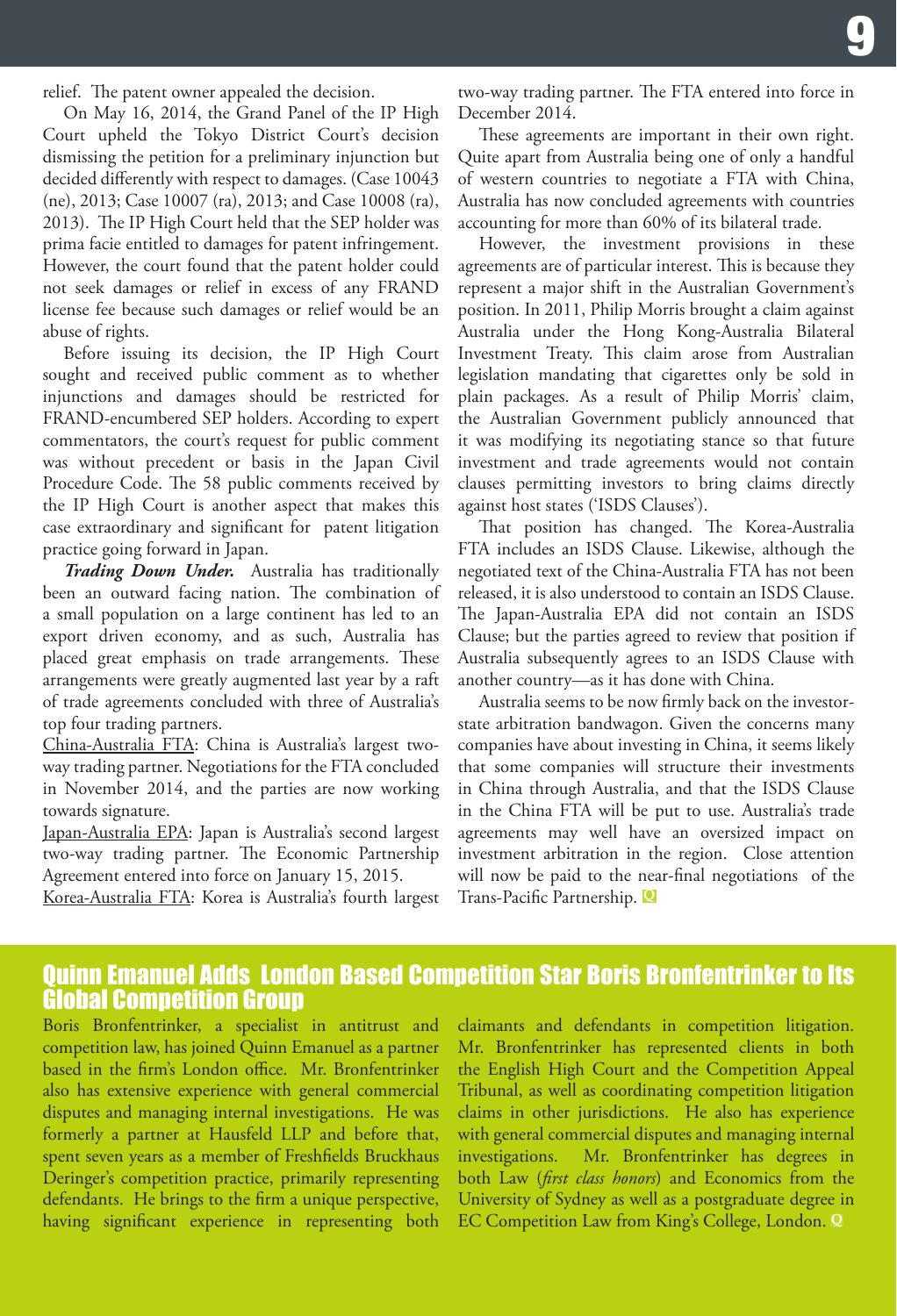relief. The patent owner appealed the decision.

On May 16, 2014, the Grand Panel of the IP High Court upheld the Tokyo District Court's decision dismissing the petition for a preliminary injunction but decided differently with respect to damages. (Case 10043 (ne), 2013; Case 10007 (ra), 2013; and Case 10008 (ra), 2013). The IP High Court held that the SEP holder was prima facie entitled to damages for patent infringement. However, the court found that the patent holder could not seek damages or relief in excess of any FRAND license fee because such damages or relief would be an abuse of rights.

Before issuing its decision, the IP High Court sought and received public comment as to whether injunctions and damages should be restricted for FRAND-encumbered SEP holders. According to expert commentators, the court's request for public comment was without precedent or basis in the Japan Civil Procedure Code. The 58 public comments received by the IP High Court is another aspect that makes this case extraordinary and significant for patent litigation practice going forward in Japan.

*Trading Down Under.*Australia has traditionally been an outward facing nation. The combination of a small population on a large continent has led to an export driven economy, and as such, Australia has placed great emphasis on trade arrangements. These arrangements were greatly augmented last year by a raft of trade agreements concluded with three of Australia's top four trading partners.

China-Australia FTA: China is Australia's largest twoway trading partner. Negotiations for the FTA concluded in November 2014, and the parties are now working towards signature.

Japan-Australia EPA: Japan is Australia's second largest two-way trading partner. The Economic Partnership Agreement entered into force on January 15, 2015.

two-way trading partner. The FTA entered into force in December 2014.

These agreements are important in their own right. Quite apart from Australia being one of only a handful of western countries to negotiate a FTA with China, Australia has now concluded agreements with countries accounting for more than 60% of its bilateral trade.

However, the investment provisions in these agreements are of particular interest. This is because they represent a major shift in the Australian Government's position. In 2011, Philip Morris brought a claim against Australia under the Hong Kong-Australia Bilateral Investment Treaty. This claim arose from Australian legislation mandating that cigarettes only be sold in plain packages. As a result of Philip Morris' claim, the Australian Government publicly announced that it was modifying its negotiating stance so that future investment and trade agreements would not contain clauses permitting investors to bring claims directly against host states ('ISDS Clauses').

That position has changed. The Korea-Australia FTA includes an ISDS Clause. Likewise, although the negotiated text of the China-Australia FTA has not been released, it is also understood to contain an ISDS Clause. The Japan-Australia EPA did not contain an ISDS Clause; but the parties agreed to review that position if Australia subsequently agrees to an ISDS Clause with another country—as it has done with China.

Australia seems to be now firmly back on the investorstate arbitration bandwagon. Given the concerns many companies have about investing in China, it seems likely that some companies will structure their investments in China through Australia, and that the ISDS Clause in the China FTA will be put to use. Australia's trade agreements may well have an oversized impact on investment arbitration in the region. Close attention will now be paid to the near-final negotiations of the Trans-Pacific Partnership. **Q**

Korea-Australia FTA: Korea is Australia's fourth largest

#### Quinn Emanuel Adds London Based Competition Star Boris Bronfentrinker to Its Global Competition Group

Boris Bronfentrinker, a specialist in antitrust and competition law, has joined Quinn Emanuel as a partner based in the firm's London office. Mr. Bronfentrinker also has extensive experience with general commercial disputes and managing internal investigations. He was formerly a partner at Hausfeld LLP and before that, spent seven years as a member of Freshfields Bruckhaus Deringer's competition practice, primarily representing defendants. He brings to the firm a unique perspective, having significant experience in representing both

claimants and defendants in competition litigation. Mr. Bronfentrinker has represented clients in both the English High Court and the Competition Appeal Tribunal, as well as coordinating competition litigation claims in other jurisdictions. He also has experience with general commercial disputes and managing internal investigations. Mr. Bronfentrinker has degrees in both Law (*first class honors*) and Economics from the University of Sydney as well as a postgraduate degree in EC Competition Law from King's College, London. **Q**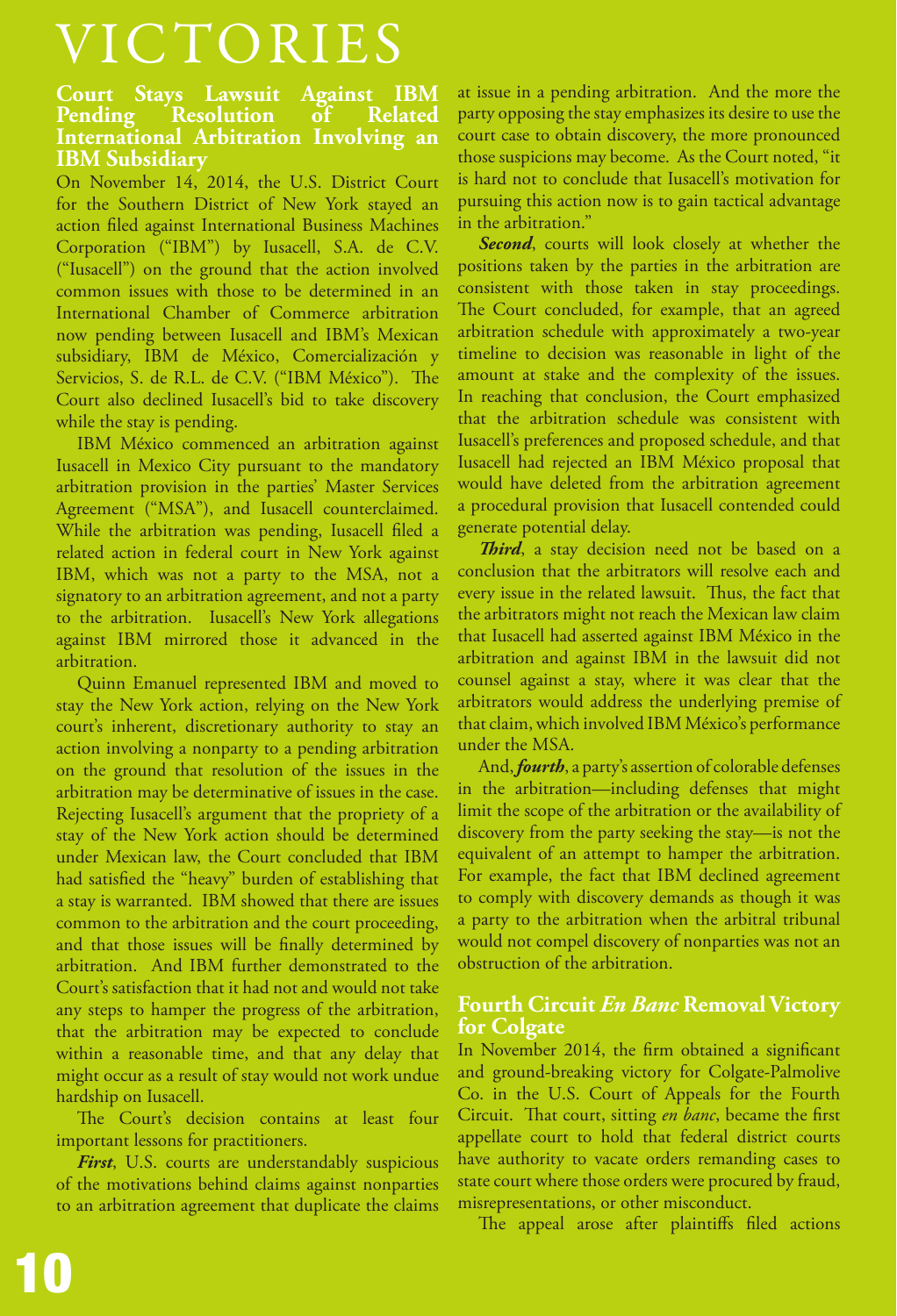# VICTORIES

#### **Court Stays Lawsuit Against IBM Resolution** of **International Arbitration Involving an IBM Subsidiary**

On November 14, 2014, the U.S. District Court for the Southern District of New York stayed an action filed against International Business Machines Corporation ("IBM") by Iusacell, S.A. de C.V. ("Iusacell") on the ground that the action involved common issues with those to be determined in an International Chamber of Commerce arbitration now pending between Iusacell and IBM's Mexican subsidiary, IBM de México, Comercialización y Servicios, S. de R.L. de C.V. ("IBM México"). The Court also declined Iusacell's bid to take discovery while the stay is pending.

IBM México commenced an arbitration against Iusacell in Mexico City pursuant to the mandatory arbitration provision in the parties' Master Services Agreement ("MSA"), and Iusacell counterclaimed. While the arbitration was pending, Iusacell filed a related action in federal court in New York against IBM, which was not a party to the MSA, not a signatory to an arbitration agreement, and not a party to the arbitration. Iusacell's New York allegations against IBM mirrored those it advanced in the arbitration.

Quinn Emanuel represented IBM and moved to stay the New York action, relying on the New York court's inherent, discretionary authority to stay an action involving a nonparty to a pending arbitration on the ground that resolution of the issues in the arbitration may be determinative of issues in the case. Rejecting Iusacell's argument that the propriety of a stay of the New York action should be determined under Mexican law, the Court concluded that IBM had satisfied the "heavy" burden of establishing that a stay is warranted. IBM showed that there are issues common to the arbitration and the court proceeding, and that those issues will be finally determined by arbitration. And IBM further demonstrated to the Court's satisfaction that it had not and would not take any steps to hamper the progress of the arbitration, that the arbitration may be expected to conclude within a reasonable time, and that any delay that might occur as a result of stay would not work undue hardship on Iusacell.

The Court's decision contains at least four important lessons for practitioners.

*First*, U.S. courts are understandably suspicious of the motivations behind claims against nonparties to an arbitration agreement that duplicate the claims at issue in a pending arbitration. And the more the party opposing the stay emphasizes its desire to use the court case to obtain discovery, the more pronounced those suspicions may become. As the Court noted, "it is hard not to conclude that Iusacell's motivation for pursuing this action now is to gain tactical advantage in the arbitration."

**Second**, courts will look closely at whether the positions taken by the parties in the arbitration are consistent with those taken in stay proceedings. The Court concluded, for example, that an agreed arbitration schedule with approximately a two-year timeline to decision was reasonable in light of the amount at stake and the complexity of the issues. In reaching that conclusion, the Court emphasized that the arbitration schedule was consistent with Iusacell's preferences and proposed schedule, and that Iusacell had rejected an IBM México proposal that would have deleted from the arbitration agreement a procedural provision that Iusacell contended could generate potential delay.

*Third*, a stay decision need not be based on a conclusion that the arbitrators will resolve each and every issue in the related lawsuit. Thus, the fact that the arbitrators might not reach the Mexican law claim that Iusacell had asserted against IBM México in the arbitration and against IBM in the lawsuit did not counsel against a stay, where it was clear that the arbitrators would address the underlying premise of that claim, which involved IBM México's performance under the MSA.

And, *fourth*, a party's assertion of colorable defenses in the arbitration—including defenses that might limit the scope of the arbitration or the availability of discovery from the party seeking the stay—is not the equivalent of an attempt to hamper the arbitration. For example, the fact that IBM declined agreement to comply with discovery demands as though it was a party to the arbitration when the arbitral tribunal would not compel discovery of nonparties was not an obstruction of the arbitration.

## **Fourth Circuit** *En Banc* **Removal Victory for Colgate**

In November 2014, the firm obtained a significant and ground-breaking victory for Colgate-Palmolive Co. in the U.S. Court of Appeals for the Fourth Circuit. That court, sitting *en banc*, became the first appellate court to hold that federal district courts have authority to vacate orders remanding cases to state court where those orders were procured by fraud, misrepresentations, or other misconduct.

The appeal arose after plaintiffs filed actions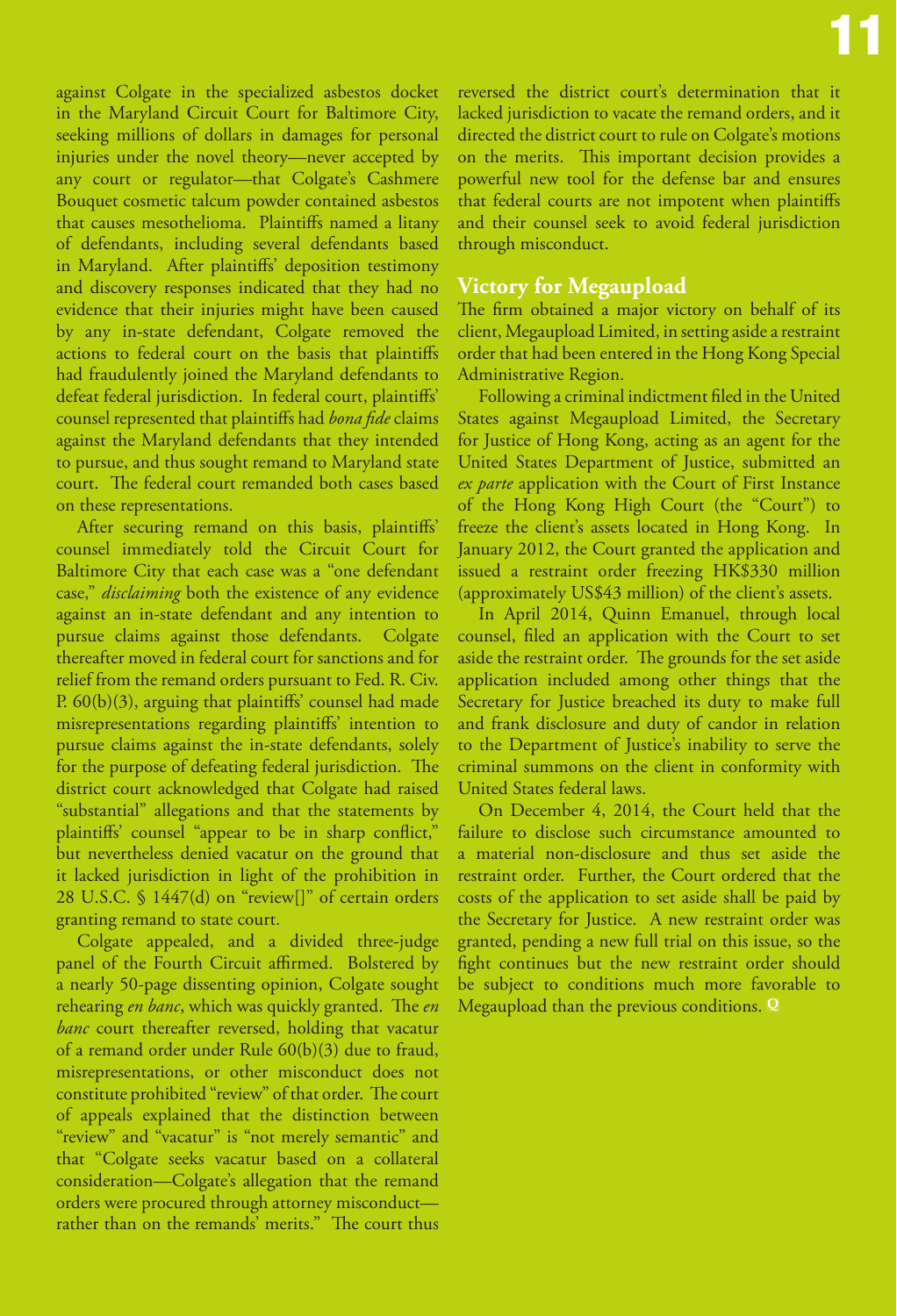against Colgate in the specialized asbestos docket in the Maryland Circuit Court for Baltimore City, seeking millions of dollars in damages for personal injuries under the novel theory—never accepted by any court or regulator—that Colgate's Cashmere Bouquet cosmetic talcum powder contained asbestos that causes mesothelioma. Plaintiffs named a litany of defendants, including several defendants based in Maryland. After plaintiffs' deposition testimony and discovery responses indicated that they had no evidence that their injuries might have been caused by any in-state defendant, Colgate removed the actions to federal court on the basis that plaintiffs had fraudulently joined the Maryland defendants to defeat federal jurisdiction. In federal court, plaintiffs' counsel represented that plaintiffs had *bona fide* claims against the Maryland defendants that they intended to pursue, and thus sought remand to Maryland state court. The federal court remanded both cases based on these representations.

After securing remand on this basis, plaintiffs' counsel immediately told the Circuit Court for Baltimore City that each case was a "one defendant case," *disclaiming* both the existence of any evidence against an in-state defendant and any intention to pursue claims against those defendants. Colgate thereafter moved in federal court for sanctions and for relief from the remand orders pursuant to Fed. R. Civ. P. 60(b)(3), arguing that plaintiffs' counsel had made misrepresentations regarding plaintiffs' intention to pursue claims against the in-state defendants, solely for the purpose of defeating federal jurisdiction. The district court acknowledged that Colgate had raised "substantial" allegations and that the statements by plaintiffs' counsel "appear to be in sharp conflict," but nevertheless denied vacatur on the ground that it lacked jurisdiction in light of the prohibition in 28 U.S.C. § 1447(d) on "review[]" of certain orders granting remand to state court.

Colgate appealed, and a divided three-judge panel of the Fourth Circuit affirmed. Bolstered by a nearly 50-page dissenting opinion, Colgate sought rehearing *en banc*, which was quickly granted. The *en banc* court thereafter reversed, holding that vacatur of a remand order under Rule 60(b)(3) due to fraud, misrepresentations, or other misconduct does not constitute prohibited "review" of that order. The court of appeals explained that the distinction between "review" and "vacatur" is "not merely semantic" and that "Colgate seeks vacatur based on a collateral consideration—Colgate's allegation that the remand orders were procured through attorney misconduct rather than on the remands' merits." The court thus

reversed the district court's determination that it lacked jurisdiction to vacate the remand orders, and it directed the district court to rule on Colgate's motions on the merits. This important decision provides a powerful new tool for the defense bar and ensures that federal courts are not impotent when plaintiffs and their counsel seek to avoid federal jurisdiction through misconduct.

#### **Victory for Megaupload**

The firm obtained a major victory on behalf of its client, Megaupload Limited, in setting aside a restraint order that had been entered in the Hong Kong Special Administrative Region.

Following a criminal indictment filed in the United States against Megaupload Limited, the Secretary for Justice of Hong Kong, acting as an agent for the United States Department of Justice, submitted an *ex parte* application with the Court of First Instance of the Hong Kong High Court (the "Court") to freeze the client's assets located in Hong Kong. In January 2012, the Court granted the application and issued a restraint order freezing HK\$330 million (approximately US\$43 million) of the client's assets.

In April 2014, Quinn Emanuel, through local counsel, filed an application with the Court to set aside the restraint order. The grounds for the set aside application included among other things that the Secretary for Justice breached its duty to make full and frank disclosure and duty of candor in relation to the Department of Justice's inability to serve the criminal summons on the client in conformity with United States federal laws.

**Q** Megaupload than the previous conditions.On December 4, 2014, the Court held that the failure to disclose such circumstance amounted to a material non-disclosure and thus set aside the restraint order. Further, the Court ordered that the costs of the application to set aside shall be paid by the Secretary for Justice. A new restraint order was granted, pending a new full trial on this issue, so the fight continues but the new restraint order should be subject to conditions much more favorable to